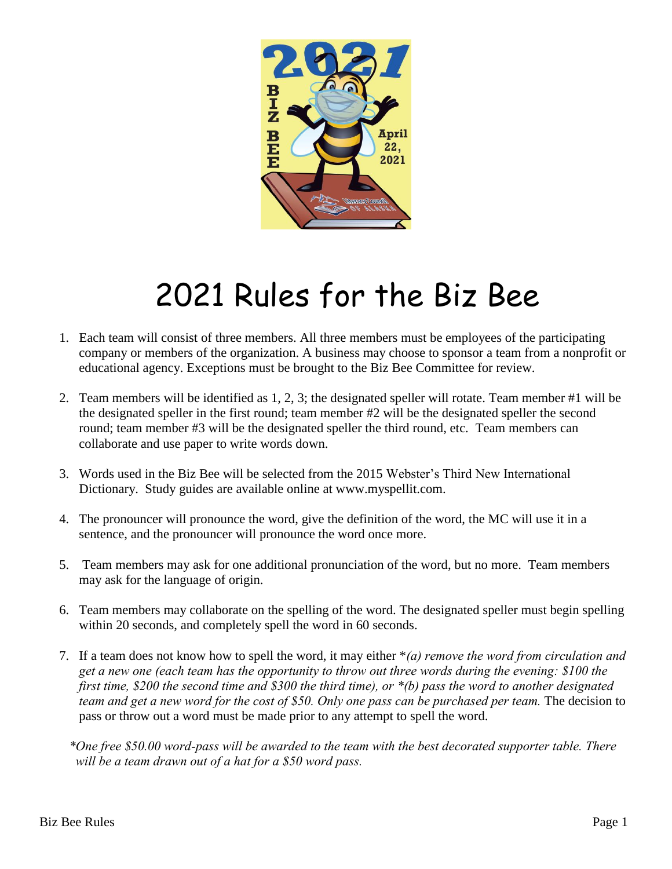

## 2021 Rules for the Biz Bee

- 1. Each team will consist of three members. All three members must be employees of the participating company or members of the organization. A business may choose to sponsor a team from a nonprofit or educational agency. Exceptions must be brought to the Biz Bee Committee for review.
- 2. Team members will be identified as 1, 2, 3; the designated speller will rotate. Team member #1 will be the designated speller in the first round; team member #2 will be the designated speller the second round; team member #3 will be the designated speller the third round, etc. Team members can collaborate and use paper to write words down.
- 3. Words used in the Biz Bee will be selected from the 2015 Webster's Third New International Dictionary. Study guides are available online at www.myspellit.com.
- 4. The pronouncer will pronounce the word, give the definition of the word, the MC will use it in a sentence, and the pronouncer will pronounce the word once more.
- 5. Team members may ask for one additional pronunciation of the word, but no more. Team members may ask for the language of origin.
- 6. Team members may collaborate on the spelling of the word. The designated speller must begin spelling within 20 seconds, and completely spell the word in 60 seconds.
- 7. If a team does not know how to spell the word, it may either \**(a) remove the word from circulation and get a new one (each team has the opportunity to throw out three words during the evening: \$100 the first time, \$200 the second time and \$300 the third time), or \*(b) pass the word to another designated team and get a new word for the cost of \$50. Only one pass can be purchased per team.* The decision to pass or throw out a word must be made prior to any attempt to spell the word.
	- *\*One free \$50.00 word-pass will be awarded to the team with the best decorated supporter table. There will be a team drawn out of a hat for a \$50 word pass.*